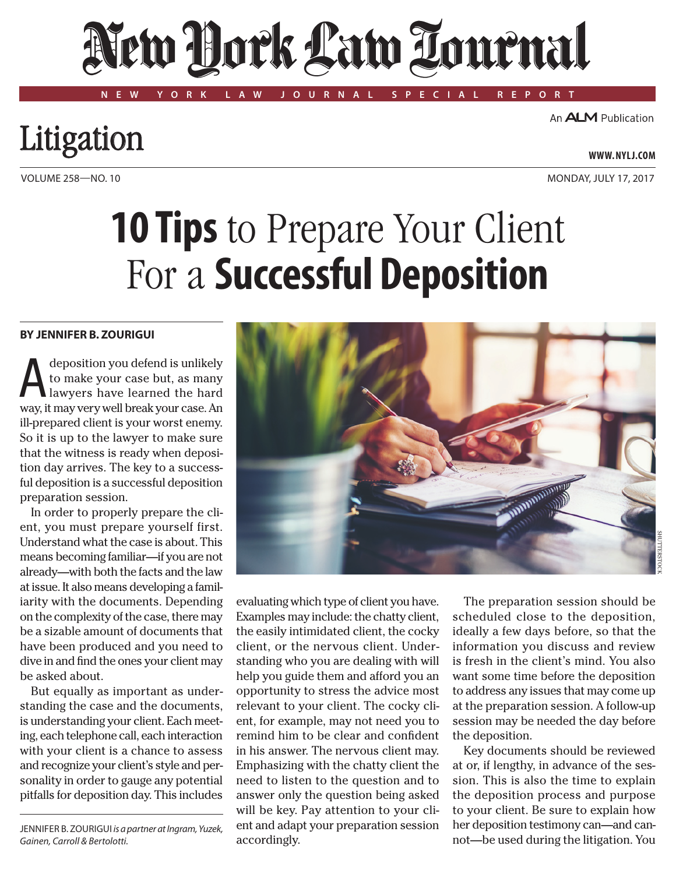# New York Law Tournal

**NEW YORK LAW JOURNAL SPECIAL REPORT**

An **ALM** Publication

### Litigation

## **10 Tips** to Prepare Your Client For a **Successful Deposition**

#### **By Jennifer B. Zourigui**

deposition you defend is unlikely<br>to make your case but, as many<br>lawyers have learned the hard to make your case but, as many lawyers have learned the hard way, it may very well break your case. An ill-prepared client is your worst enemy. So it is up to the lawyer to make sure that the witness is ready when deposition day arrives. The key to a successful deposition is a successful deposition preparation session.

In order to properly prepare the client, you must prepare yourself first. Understand what the case is about. This means becoming familiar—if you are not already—with both the facts and the law at issue. It also means developing a familiarity with the documents. Depending on the complexity of the case, there may be a sizable amount of documents that have been produced and you need to dive in and find the ones your client may be asked about.

But equally as important as understanding the case and the documents, is understanding your client. Each meeting, each telephone call, each interaction with your client is a chance to assess and recognize your client's style and personality in order to gauge any potential pitfalls for deposition day. This includes

JENNIFER B. ZOURIGUI *is a partner at Ingram, Yuzek*, *Gainen, Carroll & Bertolotti.*

evaluating which type of client you have. Examples may include: the chatty client, the easily intimidated client, the cocky client, or the nervous client. Understanding who you are dealing with will help you guide them and afford you an opportunity to stress the advice most relevant to your client. The cocky client, for example, may not need you to remind him to be clear and confident in his answer. The nervous client may. Emphasizing with the chatty client the need to listen to the question and to answer only the question being asked will be key. Pay attention to your client and adapt your preparation session accordingly.

The preparation session should be scheduled close to the deposition, ideally a few days before, so that the information you discuss and review is fresh in the client's mind. You also want some time before the deposition to address any issues that may come up at the preparation session. A follow-up session may be needed the day before the deposition.

Key documents should be reviewed at or, if lengthy, in advance of the session. This is also the time to explain the deposition process and purpose to your client. Be sure to explain how her deposition testimony can—and cannot—be used during the litigation. You



Volume 258—NO. 10 MONDay, july 17, 2017